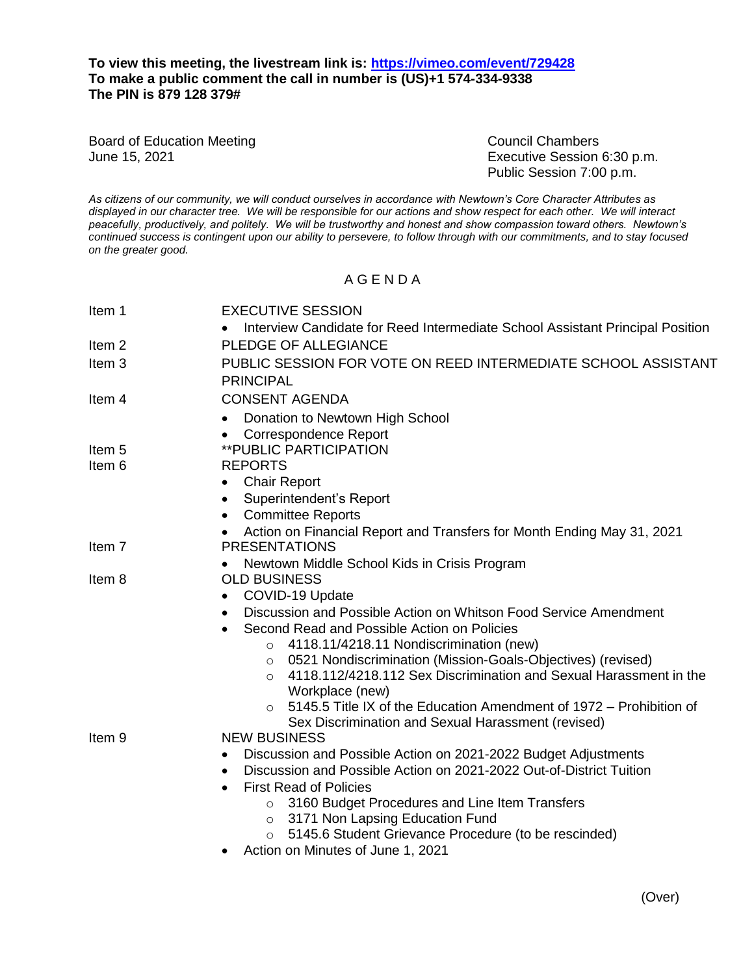## **To view this meeting, the livestream link is:<https://vimeo.com/event/729428> To make a public comment the call in number is (US)+1 574-334-9338 The PIN is 879 128 379#**

Board of Education Meeting Council Chambers Council Chambers

June 15, 2021 Executive Session 6:30 p.m. Public Session 7:00 p.m.

*As citizens of our community, we will conduct ourselves in accordance with Newtown's Core Character Attributes as displayed in our character tree. We will be responsible for our actions and show respect for each other. We will interact peacefully, productively, and politely. We will be trustworthy and honest and show compassion toward others. Newtown's continued success is contingent upon our ability to persevere, to follow through with our commitments, and to stay focused on the greater good.*

## A G E N D A

| Item 1            | <b>EXECUTIVE SESSION</b>                                                                              |
|-------------------|-------------------------------------------------------------------------------------------------------|
| Item <sub>2</sub> | Interview Candidate for Reed Intermediate School Assistant Principal Position<br>PLEDGE OF ALLEGIANCE |
| Item <sub>3</sub> | PUBLIC SESSION FOR VOTE ON REED INTERMEDIATE SCHOOL ASSISTANT<br><b>PRINCIPAL</b>                     |
| Item 4            | <b>CONSENT AGENDA</b>                                                                                 |
|                   | Donation to Newtown High School<br><b>Correspondence Report</b><br>$\bullet$                          |
| Item 5            | <b>**PUBLIC PARTICIPATION</b>                                                                         |
| Item 6            | <b>REPORTS</b>                                                                                        |
|                   | <b>Chair Report</b><br>$\bullet$                                                                      |
|                   | Superintendent's Report<br>$\bullet$                                                                  |
|                   | <b>Committee Reports</b><br>$\bullet$                                                                 |
|                   | Action on Financial Report and Transfers for Month Ending May 31, 2021<br>$\bullet$                   |
| Item 7            | <b>PRESENTATIONS</b>                                                                                  |
| Item 8            | Newtown Middle School Kids in Crisis Program<br><b>OLD BUSINESS</b>                                   |
|                   | COVID-19 Update                                                                                       |
|                   | Discussion and Possible Action on Whitson Food Service Amendment                                      |
|                   | Second Read and Possible Action on Policies<br>$\bullet$                                              |
|                   | 4118.11/4218.11 Nondiscrimination (new)<br>$\circ$                                                    |
|                   | 0521 Nondiscrimination (Mission-Goals-Objectives) (revised)<br>$\circ$                                |
|                   | 4118.112/4218.112 Sex Discrimination and Sexual Harassment in the<br>$\Omega$                         |
|                   | Workplace (new)                                                                                       |
|                   | 5145.5 Title IX of the Education Amendment of 1972 – Prohibition of                                   |
|                   | Sex Discrimination and Sexual Harassment (revised)                                                    |
| Item <sub>9</sub> | <b>NEW BUSINESS</b>                                                                                   |
|                   | Discussion and Possible Action on 2021-2022 Budget Adjustments                                        |
|                   | Discussion and Possible Action on 2021-2022 Out-of-District Tuition<br>$\bullet$                      |
|                   | <b>First Read of Policies</b><br>$\bullet$                                                            |
|                   | 3160 Budget Procedures and Line Item Transfers<br>$\circ$                                             |
|                   | 3171 Non Lapsing Education Fund<br>$\circ$<br>5145.6 Student Grievance Procedure (to be rescinded)    |
|                   | Action on Minutes of June 1, 2021                                                                     |
|                   |                                                                                                       |